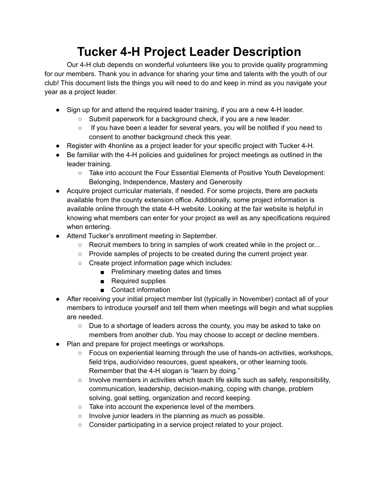## **Tucker 4-H Project Leader Description**

Our 4-H club depends on wonderful volunteers like you to provide quality programming for our members. Thank you in advance for sharing your time and talents with the youth of our club! This document lists the things you will need to do and keep in mind as you navigate your year as a project leader.

- Sign up for and attend the required leader training, if you are a new 4-H leader.
	- Submit paperwork for a background check, if you are a new leader.
	- $\circ$  If you have been a leader for several years, you will be notified if you need to consent to another background check this year.
- Register with 4 honline as a project leader for your specific project with Tucker 4-H.
- Be familiar with the 4-H policies and quidelines for project meetings as outlined in the leader training.
	- Take into account the Four Essential Elements of Positive Youth Development: Belonging, Independence, Mastery and Generosity
- Acquire project curricular materials, if needed. For some projects, there are packets available from the county extension office. Additionally, some project information is available online through the state 4-H website. Looking at the fair website is helpful in knowing what members can enter for your project as well as any specifications required when entering.
- Attend Tucker's enrollment meeting in September.
	- Recruit members to bring in samples of work created while in the project or...
	- Provide samples of projects to be created during the current project year.
	- Create project information page which includes:
		- Preliminary meeting dates and times
		- Required supplies
		- Contact information
- After receiving your initial project member list (typically in November) contact all of your members to introduce yourself and tell them when meetings will begin and what supplies are needed.
	- Due to a shortage of leaders across the county, you may be asked to take on members from another club. You may choose to accept or decline members.
- Plan and prepare for project meetings or workshops.
	- Focus on experiential learning through the use of hands-on activities, workshops, field trips, audio/video resources, guest speakers, or other learning tools. Remember that the 4-H slogan is "learn by doing."
	- $\circ$  Involve members in activities which teach life skills such as safety, responsibility, communication, leadership, decision-making, coping with change, problem solving, goal setting, organization and record keeping.
	- Take into account the experience level of the members.
	- Involve junior leaders in the planning as much as possible.
	- Consider participating in a service project related to your project.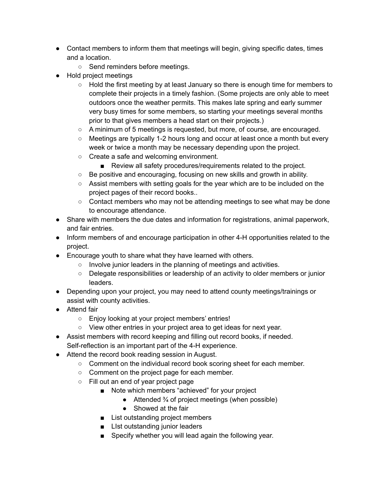- Contact members to inform them that meetings will begin, giving specific dates, times and a location.
	- Send reminders before meetings.
- Hold project meetings
	- Hold the first meeting by at least January so there is enough time for members to complete their projects in a timely fashion. (Some projects are only able to meet outdoors once the weather permits. This makes late spring and early summer very busy times for some members, so starting your meetings several months prior to that gives members a head start on their projects.)
	- A minimum of 5 meetings is requested, but more, of course, are encouraged.
	- Meetings are typically 1-2 hours long and occur at least once a month but every week or twice a month may be necessary depending upon the project.
	- Create a safe and welcoming environment.
		- Review all safety procedures/requirements related to the project.
	- Be positive and encouraging, focusing on new skills and growth in ability.
	- Assist members with setting goals for the year which are to be included on the project pages of their record books..
	- $\circ$  Contact members who may not be attending meetings to see what may be done to encourage attendance.
- Share with members the due dates and information for registrations, animal paperwork, and fair entries.
- Inform members of and encourage participation in other 4-H opportunities related to the project.
- Encourage youth to share what they have learned with others.
	- Involve junior leaders in the planning of meetings and activities.
	- Delegate responsibilities or leadership of an activity to older members or junior leaders.
- Depending upon your project, you may need to attend county meetings/trainings or assist with county activities.
- Attend fair
	- Enjoy looking at your project members' entries!
	- View other entries in your project area to get ideas for next year.
- Assist members with record keeping and filling out record books, if needed. Self-reflection is an important part of the 4-H experience.
- Attend the record book reading session in August.
	- Comment on the individual record book scoring sheet for each member.
	- Comment on the project page for each member.
	- Fill out an end of year project page
		- Note which members "achieved" for your project
			- $\bullet$  Attended  $\frac{3}{4}$  of project meetings (when possible)
			- Showed at the fair
		- List outstanding project members
		- List outstanding junior leaders
		- Specify whether you will lead again the following year.